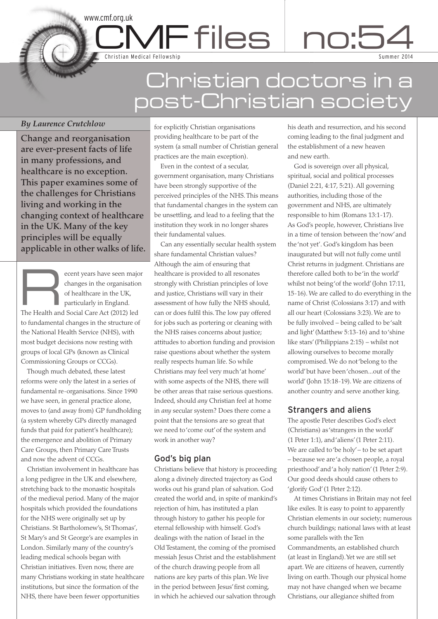# Christian doctors in a post-Christian society

 $\mathsf{MF}$  files  $\mid$  no:5

# *By Laurence Crutchlow*

**Change and reorganisation are ever-present facts of life in many professions, and healthcare is no exception. This paper examines some of the challenges for Christians living and working in the changing context of healthcare in the UK. Many of the key principles will be equally applicable in other walks of life.**

C Dental Contract Contract Contract Contract Contract Contract Contract Contract Contract Contract Contract Contract Contract Contract Contract Contract Contract Contract Contract Contract Contract Contract Contract Contra

www.cmf.org.uk

Christian Medical Fellowship

Examples of healthcare in the organisation<br>of healthcare in the UK,<br>particularly in England. changes in the organisation of healthcare in the UK, particularly in England. The Health and Social Care Act (2012) led to fundamental changes in the structure of the National Health Service (NHS), with most budget decisions now resting with groups of local GPs (known as Clinical Commissioning Groups or CCGs).

Though much debated, these latest reforms were only the latest in a series of fundamental re-organisations. Since 1990 we have seen, in general practice alone, moves to (and away from) GP fundholding (a system whereby GPs directly managed funds that paid for patient's healthcare); the emergence and abolition of Primary Care Groups, then Primary Care Trusts and now the advent of CCGs.

Christian involvement in healthcare has a long pedigree in the UK and elsewhere, stretching back to the monastic hospitals of the medieval period. Many of the major hospitals which provided the foundations for the NHS were originally set up by Christians. St Bartholomew's, St Thomas', St Mary's and St George's are examples in London. Similarly many of the country's leading medical schools began with Christian initiatives. Even now, there are many Christians working in state healthcare institutions, but since the formation of the NHS, there have been fewer opportunities

for explicitly Christian organisations providing healthcare to be part of the system (a small number of Christian general practices are the main exception).

Even in the context of a secular, government organisation, many Christians have been strongly supportive of the perceived principles of the NHS.This means that fundamental changes in the system can be unsettling, and lead to a feeling that the institution they work in no longer shares their fundamental values.

Can any essentially secular health system share fundamental Christian values? Although the aim of ensuring that healthcare is provided to all resonates strongly with Christian principles of love and justice, Christians will vary in their assessment of how fully the NHS should, can or does fulfil this.The low pay offered for jobs such as portering or cleaning with the NHS raises concerns about justice; attitudes to abortion funding and provision raise questions about whether the system really respects human life. So while Christians may feel very much'at home' with some aspects of the NHS, there will be other areas that raise serious questions. Indeed, should *any* Christian feel at home in *any* secular system? Does there come a point that the tensions are so great that we need to'come out'of the system and work in another way?

# God's big plan

Christians believe that history is proceeding along a divinely directed trajectory as God works out his grand plan of salvation. God created the world and, in spite of mankind's rejection of him, has instituted a plan through history to gather his people for eternal fellowship with himself. God's dealings with the nation of Israel in the Old Testament, the coming of the promised messiah Jesus Christ and the establishment of the church drawing people from all nations are key parts of this plan. We live in the period between Jesus'first coming, in which he achieved our salvation through

his death and resurrection, and his second coming leading to the final judgment and the establishment of a new heaven and new earth.

Sum mer 2014

4

God is sovereign over all physical, spiritual, social and political processes (Daniel 2:21, 4:17, 5:21). All governing authorities, including those of the government and NHS, are ultimately responsible to him (Romans 13:1-17). As God's people, however, Christians live in a time of tension between the'now'and the'not yet'. God's kingdom has been inaugurated but will not fully come until Christ returns in judgment. Christians are therefore called both to be'in the world' whilst not being'of the world'(John 17:11, 15-16). We are called to do everything in the name of Christ (Colossians 3:17) and with all our heart (Colossians 3:23). We are to be fully involved – being called to be'salt and light'(Matthew 5:13-16) and to'shine like stars'(Philippians 2:15) – whilst not allowing ourselves to become morally compromised. We do not'belong to the world'but have been'chosen...out of the world'(John 15:18-19). We are citizens of another country and serve another king.

# Strangers and aliens

The apostle Peter describes God's elect (Christians) as'strangers in the world' (1 Peter 1:1), and'aliens'(1 Peter 2:11). We are called to'be holy'– to be set apart – because we are'a chosen people, a royal priesthood'and'a holy nation'(1 Peter 2:9). Our good deeds should cause others to 'glorify God'(1 Peter 2:12).

At times Christians in Britain may not feel like exiles. It is easy to point to apparently Christian elements in our society; numerous church buildings; national laws with at least some parallels with the Ten Commandments, an established church (at least in England).Yet we are still set apart. We are citizens of heaven, currently living on earth.Though our physical home may not have changed when we became Christians, our allegiance shifted from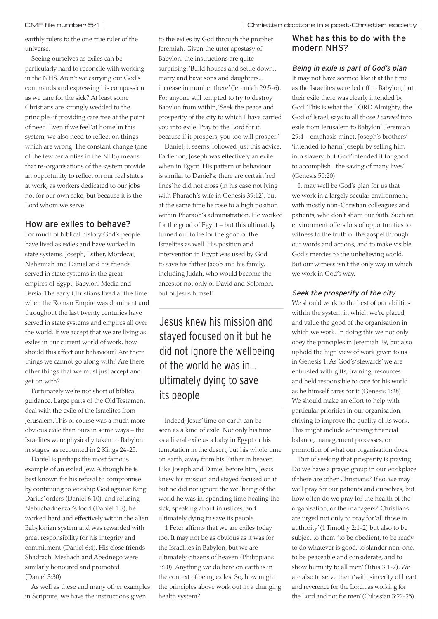earthly rulers to the one true ruler of the universe.

Seeing ourselves as exiles can be particularly hard to reconcile with working in the NHS. Aren't we carrying out God's commands and expressing his compassion as we care for the sick? At least some Christians are strongly wedded to the principle of providing care free at the point of need. Even if we feel'at home'in this system, we also need to reflect on things which are wrong.The constant change (one of the few certainties in the NHS) means that re-organisations of the system provide an opportunity to reflect on our real status at work; as workers dedicated to our jobs not for our own sake, but because it is the Lord whom we serve.

# How are exiles to behave?

For much of biblical history God's people have lived as exiles and have worked in state systems. Joseph, Esther, Mordecai, Nehemiah and Daniel and his friends served in state systems in the great empires of Egypt, Babylon, Media and Persia.The early Christians lived at the time when the Roman Empire was dominant and throughout the last twenty centuries have served in state systems and empires all over the world. If we accept that we are living as exiles in our current world of work, how should this affect our behaviour? Are there things we cannot go along with? Are there other things that we must just accept and get on with?

Fortunately we're not short of biblical guidance. Large parts of the Old Testament deal with the exile of the Israelites from Jerusalem.This of course was a much more obvious exile than ours in some ways – the Israelites were physically taken to Babylon in stages, as recounted in 2 Kings 24-25.

Daniel is perhaps the most famous example of an exiled Jew. Although he is best known for his refusal to compromise by continuing to worship God against King Darius'orders (Daniel 6:10), and refusing Nebuchadnezzar's food (Daniel 1:8), he worked hard and effectively within the alien Babylonian system and was rewarded with great responsibility for his integrity and commitment (Daniel 6:4). His close friends Shadrach, Meshach and Abednego were similarly honoured and promoted (Daniel 3:30).

As well as these and many other examples in Scripture, we have the instructions given

to the exiles by God through the prophet Jeremiah. Given the utter apostasy of Babylon, the instructions are quite surprising:'Build houses and settle down... marry and have sons and daughters... increase in number there'(Jeremiah 29:5-6). For anyone still tempted to try to destroy Babylon from within,'Seek the peace and prosperity of the city to which I have carried you into exile. Pray to the Lord for it, because if it prospers, you too will prosper.'

Daniel, it seems, followed just this advice. Earlier on, Joseph was effectively an exile when in Egypt. His pattern of behaviour is similar to Daniel's; there are certain'red lines'he did not cross (in his case not lying with Pharaoh's wife in Genesis 39:12), but at the same time he rose to a high position within Pharaoh's administration. He worked for the good of Egypt – but this ultimately turned out to be for the good of the Israelites as well. His position and intervention in Egypt was used by God to save his father Jacob and his family, including Judah, who would become the ancestor not only of David and Solomon, but of Jesus himself.

Jesus knew his mission and stayed focused on it but he did not ignore the wellbeing of the world he was in... ultimately dying to save its people

Indeed, Jesus'time on earth can be seen as a kind of exile. Not only his time as a literal exile as a baby in Egypt or his temptation in the desert, but his whole time on earth, away from his Father in heaven. Like Joseph and Daniel before him, Jesus knew his mission and stayed focused on it but he did not ignore the wellbeing of the world he was in, spending time healing the sick, speaking about injustices, and ultimately dying to save its people.

1 Peter affirms that we are exiles today too. It may not be as obvious as it was for the Israelites in Babylon, but we are ultimately citizens of heaven (Philippians 3:20). Anything we do here on earth is in the context of being exiles. So, how might the principles above work out in a changing health system?

# What has this to do with the modern NHS?

Being in exile is part of God's plan

It may not have seemed like it at the time as the Israelites were led off to Babylon, but their exile there was clearly intended by God.'This is what the LORD Almighty, the God of Israel, says to all those *I carried* into exile from Jerusalem to Babylon'(Jeremiah 29:4 – emphasis mine). Joseph's brothers' 'intended to harm'Joseph by selling him into slavery, but God'intended it for good to accomplish...the saving of many lives' (Genesis 50:20).

It may well be God's plan for us that we work in a largely secular environment, with mostly non-Christian colleagues and patients, who don't share our faith. Such an environment offers lots of opportunities to witness to the truth of the gospel through our words and actions, and to make visible God's mercies to the unbelieving world. But our witness isn't the only way in which we work in God's way.

# Seek the prosperity of the city

We should work to the best of our abilities within the system in which we're placed, and value the good of the organisation in which we work. In doing this we not only obey the principles in Jeremiah 29, but also uphold the high view of work given to us in Genesis 1. As God's'stewards'we are entrusted with gifts, training, resources and held responsible to care for his world as he himself cares for it (Genesis 1:28). We should make an effort to help with particular priorities in our organisation, striving to improve the quality of its work. This might include achieving financial balance, management processes, or promotion of what our organisation does.

Part of seeking that prosperity is praying. Do we have a prayer group in our workplace if there are other Christians? If so, we may well pray for our patients and ourselves, but how often do we pray for the health of the organisation, or the managers? Christians are urged not only to pray for'all those in authority'(1 Timothy 2:1-2) but also to be subject to them:'to be obedient, to be ready to do whatever is good, to slander non-one, to be peaceable and considerate, and to show humility to all men'(Titus 3:1-2). We are also to serve them'with sincerity of heart and reverence for the Lord...as working for the Lord and not for men'(Colossian 3:22-25).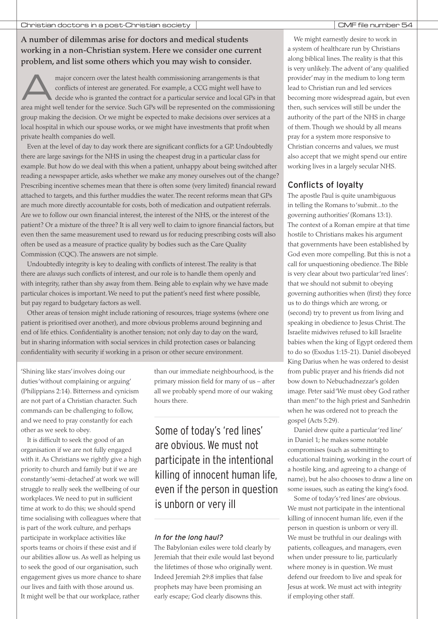# **A number of dilemmas arise for doctors and medical students working in a non-Christian system. Here we consider one current problem, and list some others which you may wish to consider.**

major concern over the latest health commissioning arrangements is that conflicts of interest are generated. For example, a CCG might well have to decide who is granted the contract for a particular service and local GPs i conflicts of interest are generated. For example, a CCG might well have to decide who is granted the contract for a particular service and local GPs in that area might well tender for the service. Such GPs will be represented on the commissioning group making the decision. Or we might be expected to make decisions over services at a local hospital in which our spouse works, or we might have investments that profit when private health companies do well.

Even at the level of day to day work there are significant conflicts for a GP. Undoubtedly there are large savings for the NHS in using the cheapest drug in a particular class for example. But how do we deal with this when a patient, unhappy about being switched after reading a newspaper article, asks whether we make any money ourselves out of the change? Prescribing incentive schemes mean that there is often some (very limited) financial reward attached to targets, and this further muddies the water.The recent reforms mean that GPs are much more directly accountable for costs, both of medication and outpatient referrals. Are we to follow our own financial interest, the interest of the NHS, or the interest of the patient? Or a mixture of the three? It is all very well to claim to ignore financial factors, but even then the same measurement used to reward us for reducing prescribing costs will also often be used as a measure of practice quality by bodies such as the Care Quality Commission (CQC).The answers are not simple.

Undoubtedly integrity is key to dealing with conflicts of interest.The reality is that there are *always* such conflicts of interest, and our role is to handle them openly and with integrity, rather than shy away from them. Being able to explain why we have made particular choices is important. We need to put the patient's need first where possible, but pay regard to budgetary factors as well.

Other areas of tension might include rationing of resources, triage systems (where one patient is prioritised over another), and more obvious problems around beginning and end of life ethics. Confidentiality is another tension; not only day to day on the ward, but in sharing information with social services in child protection cases or balancing confidentiality with security if working in a prison or other secure environment.

'Shining like stars'involves doing our duties'without complaining or arguing' (Philippians 2:14). Bitterness and cynicism are not part of a Christian character. Such commands can be challenging to follow, and we need to pray constantly for each other as we seek to obey.

It is difficult to seek the good of an organisation if we are not fully engaged with it. As Christians we rightly give a high priority to church and family but if we are constantly'semi-detached'at work we will struggle to really seek the wellbeing of our workplaces. We need to put in sufficient time at work to do this; we should spend time socialising with colleagues where that is part of the work culture, and perhaps participate in workplace activities like sports teams or choirs if these exist and if our abilities allow us. As well as helping us to seek the good of our organisation, such engagement gives us more chance to share our lives and faith with those around us. It might well be that our workplace, rather

than our immediate neighbourhood, is the primary mission field for many of us – after all we probably spend more of our waking hours there.

# Some of today's 'red lines' are obvious. We must not participate in the intentional killing of innocent human life, even if the person in question is unborn or very ill

# In for the long haul?

The Babylonian exiles were told clearly by Jeremiah that their exile would last beyond the lifetimes of those who originally went. Indeed Jeremiah 29:8 implies that false prophets may have been promising an early escape; God clearly disowns this.

We might earnestly desire to work in a system of healthcare run by Christians along biblical lines.The reality is that this is very unlikely.The advent of'any qualified provider'may in the medium to long term lead to Christian run and led services becoming more widespread again, but even then, such services will still be under the authority of the part of the NHS in charge of them.Though we should by all means pray for a system more responsive to Christian concerns and values, we must also accept that we might spend our entire working lives in a largely secular NHS.

# Conflicts of loyalty

The apostle Paul is quite unambiguous in telling the Romans to'submit...to the governing authorities'(Romans 13:1). The context of a Roman empire at that time hostile to Christians makes his argument that governments have been established by God even more compelling. But this is not a call for unquestioning obedience.The Bible is very clear about two particular'red lines': that we should not submit to obeying governing authorities when (first) they force us to do things which are wrong, or (second) try to prevent us from living and speaking in obedience to Jesus Christ.The Israelite midwives refused to kill Israelite babies when the king of Egypt ordered them to do so (Exodus 1:15-21). Daniel disobeyed King Darius when he was ordered to desist from public prayer and his friends did not bow down to Nebuchadnezzar's golden image. Peter said'We must obey God rather than men!'to the high priest and Sanhedrin when he was ordered not to preach the gospel (Acts 5:29).

Daniel drew quite a particular'red line' in Daniel 1; he makes some notable compromises (such as submitting to educational training, working in the court of a hostile king, and agreeing to a change of name), but he also chooses to draw a line on some issues, such as eating the king's food.

Some of today's'red lines'are obvious. We must not participate in the intentional killing of innocent human life, even if the person in question is unborn or very ill. We must be truthful in our dealings with patients, colleagues, and managers, even when under pressure to lie, particularly where money is in question. We must defend our freedom to live and speak for Jesus at work. We must act with integrity if employing other staff.